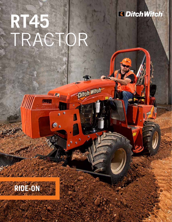## *<u>IDitch Witch</u>*

# **RT45** TRACTOR

**THILL REA** 

 $\bullet$ .

 $\alpha$ à.

aun

Ditch Witch-

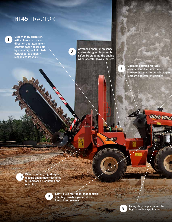## **RT45** TRACTOR

User-friendly operation, with color-coded speed/ direction and attachment controls easily accessible by operator; backfill blade controlled by a highly responsive joystick.

1

Advanced operator presence system designed to promote safety by stopping the engine when operator leaves the seat.

2

Operator's station features one-piece molded instrument console designed to provide ample legroom and greater visibility.

**Ditch Witch** 

3

Direct-coupled, high-torque digging chain motor designed for increased production and reliability.

9

10

Easy-to-use foot pedal that controls infinitely variable ground drive forward and reverse.

8

**AT45** 

Heavy-duty engine mount for high-vibration applications.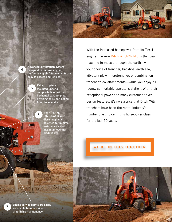

Advanced air-filtration system designed to improve engine performance; air filter elements are easy to access and replace.

> Exhaust system is mounted under a composite hood with a horizontal exhaust pipe, diverting noise and hot air from the operator.

6

5

Tier 4, 49-hp (36.5-kW) Deutz® diesel engine is designed for minimal maintenance and maximum operator productivity.

With the increased horsepower from its Tier 4 engine, the new Ditch Witch<sup>®</sup> RT45 is the ideal machine to muscle through the earth—with your choice of trencher, backhoe, earth saw, vibratory plow, microtrencher, or combination trencher/plow attachments—while you enjoy its roomy, comfortable operator's station. With their exceptional power and many customer-driven design features, it's no surprise that Ditch Witch trenchers have been the rental industry's number one choice in this horsepower class for the last 50 years.

**WE'RE IN THIS TOGETHER.** 



4



Engine service points are easily accessible from one side, simplifying maintenance.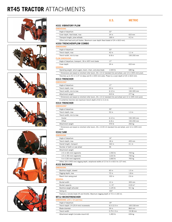## **RT45 TRACTOR** ATTACHMENTS















#### **U.S. METRIC**

#### H331 VIBRATORY PLOW

| Angle of departure             | $22^{\circ}$ |                  |
|--------------------------------|--------------|------------------|
| Cover depth, feed blade, max   | 24 in        | 610 mm           |
| Transport length, plow w/blade | 169 in       | 4.3 <sub>m</sub> |

#### H350 TRENCHER/PLOW COMBO

| <b>DIMENSIONS*</b>                                                                                                                                                                                                             |              |            |
|--------------------------------------------------------------------------------------------------------------------------------------------------------------------------------------------------------------------------------|--------------|------------|
| Angle of departure                                                                                                                                                                                                             | $33^\circ$   |            |
| Trench depth, max                                                                                                                                                                                                              | 42 in        | 1.1 m      |
| Trench width, min to max                                                                                                                                                                                                       | $6-8$ in     | 150-200 mm |
| <b>PLOW DIMENSIONS</b>                                                                                                                                                                                                         |              |            |
| Angle of departure, transport, 18-in (457-mm) blade                                                                                                                                                                            | $17^{\circ}$ |            |
| Cover depth                                                                                                                                                                                                                    | 24 in        | 610 mm     |
| <b>GENERAL</b>                                                                                                                                                                                                                 |              |            |
| As considered that the contract of the contract of the contract of the contract of the contract of the contract of the contract of the contract of the contract of the contract of the contract of the contract of the contrac | 1.500H       | 0.001      |

Operating weight, w/out augers, boom, chain, and plow blade 1,500 lb 680 kg \* Dimensions are based on shortest roller boom, 26 x 12-12 standard tire and wheel, and 12-in (305-mm) pivot.

Trenches up to 42 in (1.07 m) deep and 8 in (200 mm) wide. Plows to a cover depth of 24 in (610 mm).

#### H313 TRENCHER

| DIMENSIONS*                                                                                                  |            |                  |
|--------------------------------------------------------------------------------------------------------------|------------|------------------|
| Angle of departure                                                                                           | $17^\circ$ |                  |
| Trench depth, max                                                                                            | 63 in      | 1.6 <sub>m</sub> |
| Trench width, min to max                                                                                     | $6-12$ in  | $150 - 305$ mm   |
| Attachment weight                                                                                            | 610 lb     | 277 kg           |
| * Dimensions are based on shortest roller boom, 26 x 12-12 standard tire and wheel and 12-in (305-mm) pivot. |            |                  |

A centerline trencher w/a maximum trench depth of 63 in (1.6 m).

#### H314 TRENCHER

| <b>DIMENSIONS*</b>       |            |                  |
|--------------------------|------------|------------------|
| Angle of departure       | $35^\circ$ |                  |
| Trench depth, max        | 52 in      | 1.3 <sub>m</sub> |
| Trench width, min to max |            |                  |
| Center                   | $6-12$ in  | 150-305 mm       |
| Offset                   | $6-8$ in   | 150-200 mm       |
| Attachment weight        | 570 lb     | 260 kg           |
|                          |            |                  |

\* Dimensions are based on shortest roller boom, 26 x 12.00-12 standard tire and wheel, and 12-in (305-mm) pivot.

#### H342 SAW

| <b>DIMENSIONS</b>                                                                       |                    |                    |
|-----------------------------------------------------------------------------------------|--------------------|--------------------|
| Angle of departure                                                                      | $14^{\circ}$       |                    |
| Trench depth, max                                                                       | 18 in              | 455 mm             |
| Overall length, transport                                                               | 162 in             | 4.1 m              |
| Number of teeth on saw wheel                                                            | 36                 |                    |
| Attachment weight                                                                       |                    |                    |
| 2.5-in (65-mm) segments                                                                 | 1,550 lb           | 700 kg             |
| 3.5-in (90-mm) segments                                                                 | 1,610 lb           | 730 kg             |
| 5-in (130-mm) segments                                                                  | 1.660 lb           | 755 kg             |
| Offers 18-in (455-mm) digging depth, w/optional widths of 2.5 to 5 in (63.5 to 127 mm). |                    |                    |
| <b>A322 BACKHOE</b>                                                                     |                    |                    |
| <b>DIMENSIONS</b>                                                                       |                    |                    |
| Backhoe length, stowed                                                                  | 60 in              | 1.5 <sub>m</sub>   |
| Digging depth, max                                                                      | 72 in              | 1.8 <sub>m</sub>   |
| Reach from swing pivot                                                                  | $102$ in           | 2.6 <sub>m</sub>   |
| <b>GENERAL</b>                                                                          |                    |                    |
| Bucket width                                                                            | $12$ in            | 305 mm             |
| Bucket capacity                                                                         | $1.1 \text{ ft}^3$ | $0.03 \text{ m}^3$ |
| Backhoe weight w/bucket                                                                 | 1,125 lb           | 511 kg             |
| Swing arc                                                                               | $160^\circ$        |                    |
| Features a remote blade lift and throttle. Maximum digging depth of 72 in (1.83 m).     |                    |                    |
| <b>MT12 MICROTRENCHER</b>                                                               |                    |                    |
| DIMENSIONS, w/31 x 10 solid tires                                                       |                    |                    |
| Angle of departure                                                                      | $19^\circ$         |                    |
| Trench depth 1-ft (25.4-mm) increments                                                  | $6.5 - 12.5$ in    | 165-318 mm         |
| Blade diameter                                                                          | 34 in              | 864 mm             |
| Trench width                                                                            | $0.75 - 1.5$ in    | 19-38 mm           |

Attachment weight (includes mount kit) 1,400 lb 636 kg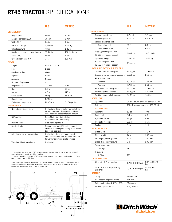## **RT45 TRACTOR** SPECIFICATIONS

|      | U.S.     | <b>METRIC</b>    |  |
|------|----------|------------------|--|
|      | 86 in    | $2.18$ m         |  |
| (L2) | 155 in   | 3.9 <sub>m</sub> |  |
|      | 64 in    | 1.6 <sub>m</sub> |  |
|      | 3,240 lb | 1470 kg          |  |

Wheelbase  $(L4)$  48 in 1.22 m Spoil discharge reach, min to max 17-20 in 430-510 mm Tread (W4) 1.2 m

|  |  |  | $\sim$ |  |
|--|--|--|--------|--|
|  |  |  |        |  |
|  |  |  |        |  |

DIMENSIONS\* Height (H1) Length, transport Width (W2) Basic unit weight

| Ground clearance, min         | $7$ in                                                                                                                | 180 mm                                                                                                                         |  |
|-------------------------------|-----------------------------------------------------------------------------------------------------------------------|--------------------------------------------------------------------------------------------------------------------------------|--|
| <b>POWER</b>                  |                                                                                                                       |                                                                                                                                |  |
| Engine                        | Deutz® D2.9 L4                                                                                                        |                                                                                                                                |  |
| Fuel                          | Diesel                                                                                                                |                                                                                                                                |  |
| Cooling medium                | Water                                                                                                                 |                                                                                                                                |  |
| Injection                     | Direct                                                                                                                |                                                                                                                                |  |
| Aspiration                    | Natural                                                                                                               |                                                                                                                                |  |
| Number of cylinders           | 4                                                                                                                     |                                                                                                                                |  |
| Displacement                  | 177 in <sup>3</sup>                                                                                                   | 2.9L                                                                                                                           |  |
| Bore                          | 3.6 <sub>in</sub>                                                                                                     | 92 mm                                                                                                                          |  |
| Stroke                        | $4.3$ in                                                                                                              | 110 mm                                                                                                                         |  |
| Gross power                   | 49 hp                                                                                                                 | 36.5 kW                                                                                                                        |  |
| Rated speed                   | 2,600 rpm                                                                                                             |                                                                                                                                |  |
| Emissions compliance          | FPA Tier 4                                                                                                            | EU Stage IIIA                                                                                                                  |  |
| <b>POWER TRAIN</b>            |                                                                                                                       |                                                                                                                                |  |
| Ground drive transmission     |                                                                                                                       | Hydrostatic drive, infinitely variable from<br>zero to maximum, foot-pedal and hand-<br>lever operated speed/direction control |  |
| <b>Differentials</b>          | Dana Model 44, limited slip;<br>Dana Model 60, limited slip                                                           |                                                                                                                                |  |
| Parking brake                 | Disc, hand-operated                                                                                                   |                                                                                                                                |  |
| Service brake                 | Ground drive speed/direction control<br>brakes machine hydraulically when moved<br>to neutral position                |                                                                                                                                |  |
| Attachment drive transmission | Hydrostatic, lever operated, speed<br>infinitely variable from zero to maximum<br>forward with limited stroke reverse |                                                                                                                                |  |
| Trencher drive transmission   | Hydrostatic                                                                                                           |                                                                                                                                |  |

\* Dimensions are based on H313 attachment and shortest roller boom length, 26 x 12-12 standard tire and wheel, and 12-inch pivot. \*\* Operating weight based on H313 attachment, longest roller boom, heaviest chain, 175 lb

operator, and 26 x 12-12 tires.

Specifications are general and subject to change without notice. If exact measurements are<br>required, equipment should be weighed and measured. Due to selected options, delivered<br>equipment may not necessarily match that sho



|                                                      | U.S.                               | <b>METRIC</b>        |
|------------------------------------------------------|------------------------------------|----------------------|
| <b>OPERATION**</b>                                   |                                    |                      |
| Forward speed, max                                   | 4.7 mph                            | 7.6 km/h             |
| Reverse speed, max                                   | $2.7$ mph                          | $4.4$ km/h           |
| Vehicle clearance circle                             |                                    |                      |
| Front steer only                                     | 28 ft                              | 8.5 m                |
| Coordinated steer                                    | 20 ft                              | 6.1 <sub>m</sub>     |
| Digging chain speed, max<br>(2,600 rpm engine speed) | 460 fpm                            | $140$ m/min          |
| Operating weight                                     | 5,375 lb                           | 2438 kg              |
| Headshaft speed, max                                 |                                    |                      |
| (2,600 rpm engine speed)                             | 233 rpm                            |                      |
| <b>HYDRAULIC SYSTEM @ 2,600 RPM</b>                  |                                    |                      |
| Ground drive pump capacity                           | 31.5 gpm                           | 119 I/min            |
| Ground drive pump relief pressure                    | 3,650 psi                          | 252 bar              |
| Attachment drive                                     |                                    |                      |
| Trencher                                             | 5,000 psi                          | 345 bar              |
| Plow/saw                                             | 3,750 psi                          | 259 bar              |
| Attachment pump capacity                             | 31.5 gpm                           | 119 I/min            |
| Auxiliary pump capacity                              | 11.5 gpm                           | 44 I/min             |
| Auxiliary pump relief pressure                       | 2,100 psi                          | 145 bar              |
| <b>NOISE LEVEL</b>                                   |                                    |                      |
| Operator                                             | 96 dBA sound pressure per ISO 6394 |                      |
| Exterior                                             | 108 dBA sound power per ISO 6393   |                      |
| <b>FLUID CAPACITIES</b>                              |                                    |                      |
| Fuel tank                                            | 13 gal                             | 49 L                 |
| Engine oil                                           | $6.4$ qt                           | 6.1 L                |
| Hydraulic system                                     | 13 gal                             | 49 L                 |
| Hydraulic reservoir                                  | 9.5 gal                            | 36 L                 |
| Coolant                                              | 3 gal                              | 11L                  |
| <b>BACKFILL BLADE</b>                                |                                    |                      |
| Blade width                                          | 64 in                              | 1.6 <sub>m</sub>     |
| Blade height                                         | 14 in                              | 355 mm               |
| Lift height, above ground                            | 12 in                              | 300 mm               |
| Blade drop, below ground                             | 8 in                               | 200 mm               |
| Swing angle, max                                     |                                    |                      |
| Left/right                                           | $28^\circ$                         |                      |
| Tilt angle                                           |                                    |                      |
| Up/down                                              | $11^{\circ}$                       |                      |
| <b>TIRES/PRESSURE</b>                                |                                    |                      |
| 26 x 12-12, 4-ply bar lug                            | 1,780 lb @ 20 psi                  | 807 kg @ 1.40<br>bar |
| 29 x 12.50-15, 8-ply bar lug<br>(optional)           | 2,150 lb @ 30 psi                  | 975 kg @ 2.07<br>bar |
| BATTERY                                              |                                    |                      |
| Group                                                | 26/26R/70                          |                      |
| SAE reserve capacity rating                          | 165 min                            |                      |
| Cold crank rating @ $0^{\circ}$ F (-18 $^{\circ}$ C) | 850 amps                           |                      |
| Auxiliary power outlet                               | 12V, 5 amps                        |                      |